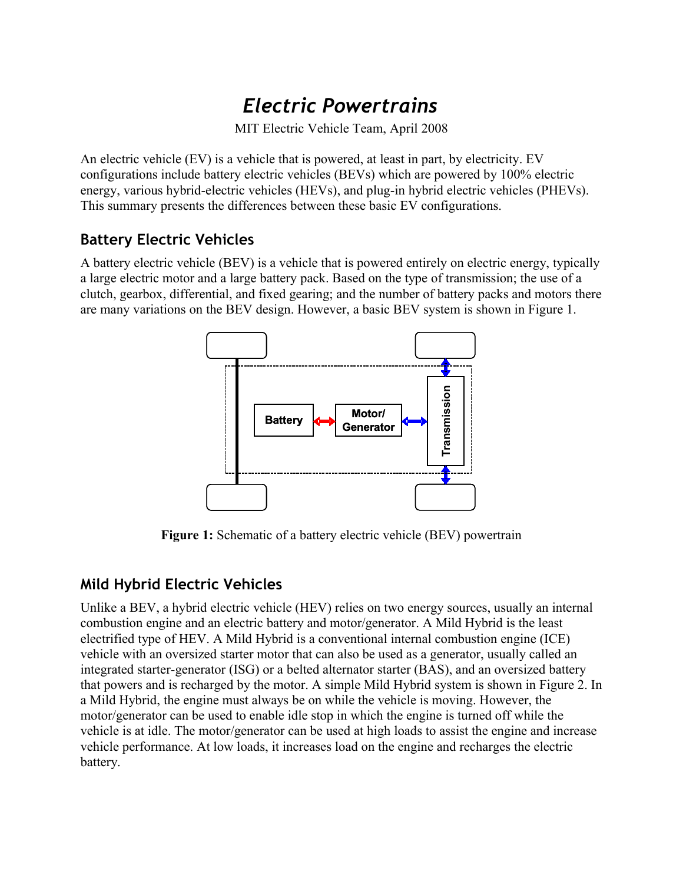# *Electric Powertrains*

MIT Electric Vehicle Team, April 2008

An electric vehicle (EV) is a vehicle that is powered, at least in part, by electricity. EV configurations include battery electric vehicles (BEVs) which are powered by 100% electric energy, various hybrid-electric vehicles (HEVs), and plug-in hybrid electric vehicles (PHEVs). This summary presents the differences between these basic EV configurations.

### **Battery Electric Vehicles**

A battery electric vehicle (BEV) is a vehicle that is powered entirely on electric energy, typically a large electric motor and a large battery pack. Based on the type of transmission; the use of a clutch, gearbox, differential, and fixed gearing; and the number of battery packs and motors there are many variations on the BEV design. However, a basic BEV system is shown in Figure 1.



**Figure 1:** Schematic of a battery electric vehicle (BEV) powertrain

## **Mild Hybrid Electric Vehicles**

Unlike a BEV, a hybrid electric vehicle (HEV) relies on two energy sources, usually an internal combustion engine and an electric battery and motor/generator. A Mild Hybrid is the least electrified type of HEV. A Mild Hybrid is a conventional internal combustion engine (ICE) vehicle with an oversized starter motor that can also be used as a generator, usually called an integrated starter-generator (ISG) or a belted alternator starter (BAS), and an oversized battery that powers and is recharged by the motor. A simple Mild Hybrid system is shown in Figure 2. In a Mild Hybrid, the engine must always be on while the vehicle is moving. However, the motor/generator can be used to enable idle stop in which the engine is turned off while the vehicle is at idle. The motor/generator can be used at high loads to assist the engine and increase vehicle performance. At low loads, it increases load on the engine and recharges the electric battery.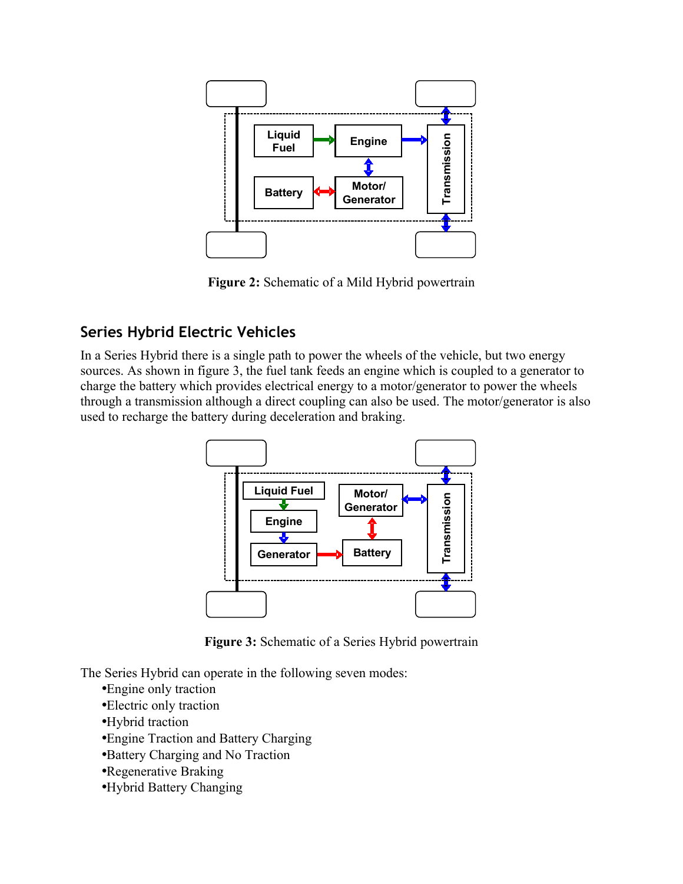

**Figure 2:** Schematic of a Mild Hybrid powertrain

#### **Series Hybrid Electric Vehicles**

In a Series Hybrid there is a single path to power the wheels of the vehicle, but two energy sources. As shown in figure 3, the fuel tank feeds an engine which is coupled to a generator to charge the battery which provides electrical energy to a motor/generator to power the wheels through a transmission although a direct coupling can also be used. The motor/generator is also used to recharge the battery during deceleration and braking.



**Figure 3:** Schematic of a Series Hybrid powertrain

The Series Hybrid can operate in the following seven modes:

- •Engine only traction
- •Electric only traction
- •Hybrid traction
- •Engine Traction and Battery Charging
- •Battery Charging and No Traction
- •Regenerative Braking
- •Hybrid Battery Changing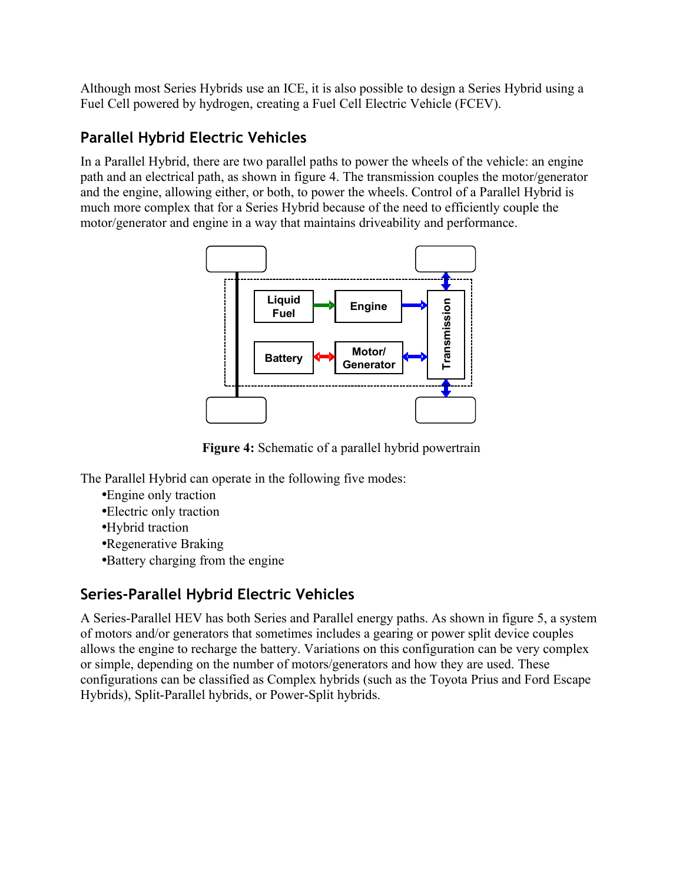Although most Series Hybrids use an ICE, it is also possible to design a Series Hybrid using a Fuel Cell powered by hydrogen, creating a Fuel Cell Electric Vehicle (FCEV).

## **Parallel Hybrid Electric Vehicles**

In a Parallel Hybrid, there are two parallel paths to power the wheels of the vehicle: an engine path and an electrical path, as shown in figure 4. The transmission couples the motor/generator and the engine, allowing either, or both, to power the wheels. Control of a Parallel Hybrid is much more complex that for a Series Hybrid because of the need to efficiently couple the motor/generator and engine in a way that maintains driveability and performance.



**Figure 4:** Schematic of a parallel hybrid powertrain

The Parallel Hybrid can operate in the following five modes:

- •Engine only traction
- •Electric only traction
- •Hybrid traction
- •Regenerative Braking
- •Battery charging from the engine

## **Series-Parallel Hybrid Electric Vehicles**

A Series-Parallel HEV has both Series and Parallel energy paths. As shown in figure 5, a system of motors and/or generators that sometimes includes a gearing or power split device couples allows the engine to recharge the battery. Variations on this configuration can be very complex or simple, depending on the number of motors/generators and how they are used. These configurations can be classified as Complex hybrids (such as the Toyota Prius and Ford Escape Hybrids), Split-Parallel hybrids, or Power-Split hybrids.